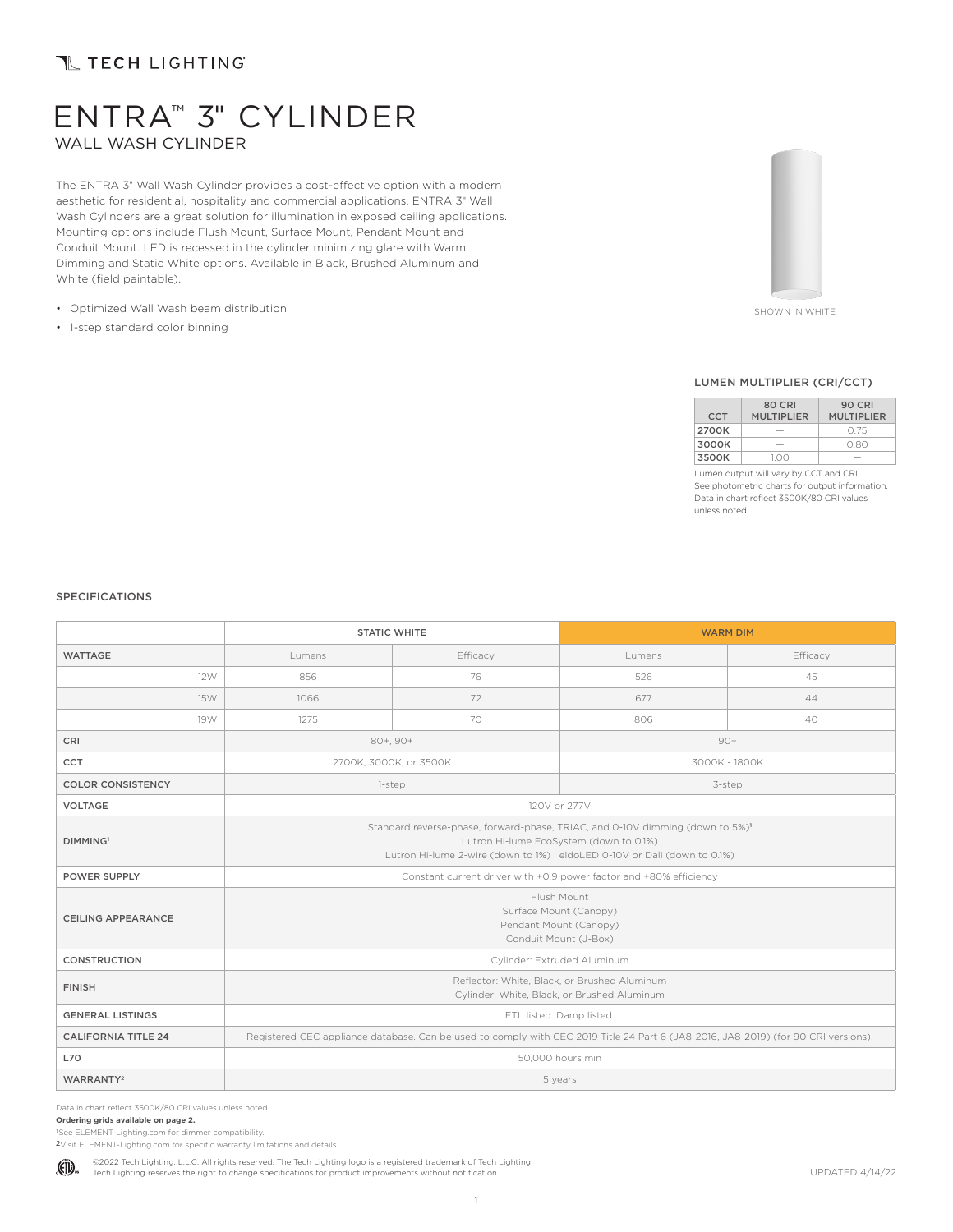# **TL TECH LIGHTING**

# ENTRA™ 3" CYLINDER WALL WASH CYLINDER

The ENTRA 3" Wall Wash Cylinder provides a cost-effective option with a modern aesthetic for residential, hospitality and commercial applications. ENTRA 3" Wall Wash Cylinders are a great solution for illumination in exposed ceiling applications. Mounting options include Flush Mount, Surface Mount, Pendant Mount and Conduit Mount. LED is recessed in the cylinder minimizing glare with Warm Dimming and Static White options. Available in Black, Brushed Aluminum and White (field paintable).

- Optimized Wall Wash beam distribution
- 1-step standard color binning



SHOWN IN WHITE

#### LUMEN MULTIPLIER (CRI/CCT)

|            | <b>80 CRI</b>     | <b>90 CRI</b>     |
|------------|-------------------|-------------------|
| <b>CCT</b> | <b>MULTIPLIER</b> | <b>MULTIPLIER</b> |
| 2700K      |                   | O 75              |
| 3000K      |                   | 0.80              |
| 3500K      | 100               |                   |

Lumen output will vary by CCT and CRI. See photometric charts for output information. Data in chart reflect 3500K/80 CRI values unless noted.

#### SPECIFICATIONS

|                            |                                                                                                                                                                                                                   | <b>STATIC WHITE</b>    |               | <b>WARM DIM</b> |
|----------------------------|-------------------------------------------------------------------------------------------------------------------------------------------------------------------------------------------------------------------|------------------------|---------------|-----------------|
| <b>WATTAGE</b>             | Lumens                                                                                                                                                                                                            | Efficacy               |               | Efficacy        |
| 12W                        | 856                                                                                                                                                                                                               | 76                     | 526           | 45              |
| 15W                        | 1066                                                                                                                                                                                                              | 72                     | 677           | 44              |
| 19W                        | 1275                                                                                                                                                                                                              | 70                     | 806           | 40              |
| CRI                        | $80+, 90+$<br>$90+$                                                                                                                                                                                               |                        |               |                 |
| CCT                        |                                                                                                                                                                                                                   | 2700K, 3000K, or 3500K | 3000K - 1800K |                 |
| <b>COLOR CONSISTENCY</b>   |                                                                                                                                                                                                                   | 1-step                 | 3-step        |                 |
| <b>VOLTAGE</b>             |                                                                                                                                                                                                                   |                        | 120V or 277V  |                 |
| <b>DIMMING</b>             | Standard reverse-phase, forward-phase, TRIAC, and 0-10V dimming (down to 5%) <sup>1</sup><br>Lutron Hi-lume EcoSystem (down to 0.1%)<br>Lutron Hi-lume 2-wire (down to 1%)   eldoLED 0-10V or Dali (down to 0.1%) |                        |               |                 |
| <b>POWER SUPPLY</b>        | Constant current driver with +0.9 power factor and +80% efficiency                                                                                                                                                |                        |               |                 |
| CEILING APPEARANCE         | Flush Mount<br>Surface Mount (Canopy)<br>Pendant Mount (Canopy)<br>Conduit Mount (J-Box)                                                                                                                          |                        |               |                 |
| <b>CONSTRUCTION</b>        | Cylinder: Extruded Aluminum                                                                                                                                                                                       |                        |               |                 |
| <b>FINISH</b>              | Reflector: White, Black, or Brushed Aluminum<br>Cylinder: White, Black, or Brushed Aluminum                                                                                                                       |                        |               |                 |
| <b>GENERAL LISTINGS</b>    | ETL listed. Damp listed.                                                                                                                                                                                          |                        |               |                 |
| <b>CALIFORNIA TITLE 24</b> | Registered CEC appliance database. Can be used to comply with CEC 2019 Title 24 Part 6 (JA8-2016, JA8-2019) (for 90 CRI versions).                                                                                |                        |               |                 |
| <b>L70</b>                 | 50,000 hours min                                                                                                                                                                                                  |                        |               |                 |
| WARRANTY <sup>2</sup>      | 5 years                                                                                                                                                                                                           |                        |               |                 |

Data in chart reflect 3500K/80 CRI values unless noted.

**Ordering grids available on page 2.** 

1See ELEMENT-Lighting.com for dimmer compatibility.

2Visit ELEMENT-Lighting.com for specific warranty limitations and details.

©2022 Tech Lighting, L.L.C. All rights reserved. The Tech Lighting logo is a registered trademark of Tech Lighting. (FD). Tech Lighting reserves the right to change specifications for product improvements without notification.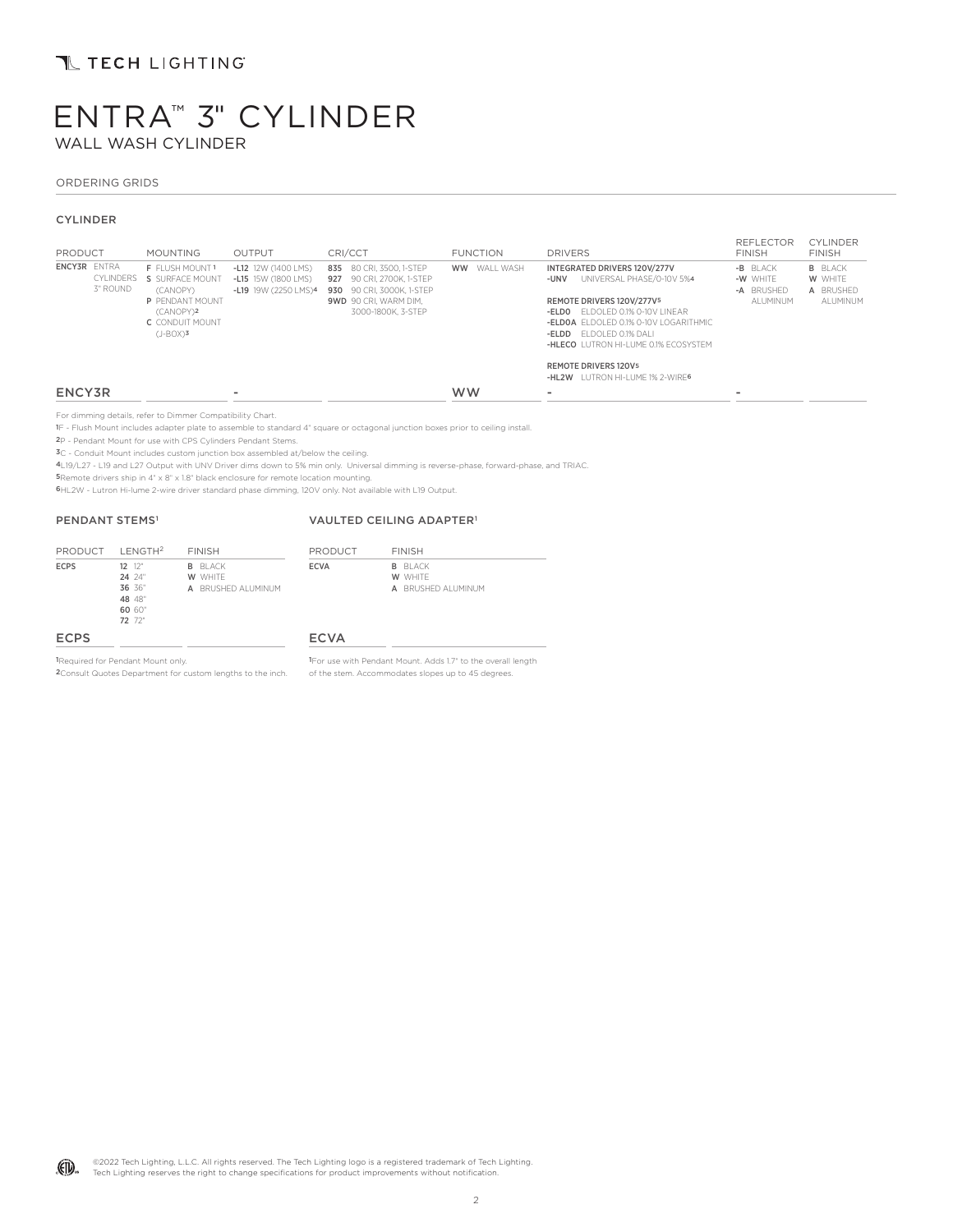## **TL TECH LIGHTING**

# ENTRA™ 3" CYLINDER WALL WASH CYLINDER

#### ORDERING GRIDS

#### CYLINDER

| PRODUCT                                      | <b>MOUNTING</b>                                                                                                              | <b>OUTPUT</b>                                                      | CRI/CCT                                                                                                                           | <b>FUNCTION</b>        | <b>DRIVERS</b>                                                                                                                                                                                                                                                            | <b>REFLECTOR</b><br><b>FINISH</b>               | <b>CYLINDER</b><br><b>FINISH</b>                   |
|----------------------------------------------|------------------------------------------------------------------------------------------------------------------------------|--------------------------------------------------------------------|-----------------------------------------------------------------------------------------------------------------------------------|------------------------|---------------------------------------------------------------------------------------------------------------------------------------------------------------------------------------------------------------------------------------------------------------------------|-------------------------------------------------|----------------------------------------------------|
| <b>ENCY3R ENTRA</b><br>CYLINDERS<br>3" ROUND | F FLUSH MOUNT 1<br>S SURFACE MOUNT<br>(CANOPY)<br>P PENDANT MOUNT<br>(CANOPY)2<br>C. CONDUIT MOUNT<br>$(J-BOX)$ <sup>3</sup> | -L12 12W (1400 LMS)<br>-L15 15W (1800 LMS)<br>-L19 19W (2250 LMS)4 | 835 80 CRI. 3500. 1-STEP<br>927 90 CRI. 2700K. 1-STEP<br>930 90 CRI. 3000K. 1-STEP<br>9WD 90 CRI. WARM DIM.<br>3000-1800K, 3-STEP | WALL WASH<br><b>WW</b> | INTEGRATED DRIVERS 120V/277V<br>UNIVERSAL PHASE/0-10V 5%4<br>-UNV<br>REMOTE DRIVERS 120V/277V5<br>$-ELDO$ FIDOLED 0.1% 0-10V LINEAR<br>-ELDOA FI DOI ED 0.1% 0-10V LOGARITHMIC<br>-ELDD FIDOLED 0.1% DALL<br>-HLECO LUTRON HI-LUME 0.1% ECOSYSTEM<br>REMOTE DRIVERS 120V5 | -B BLACK<br>-W WHITE<br>-A BRUSHED<br>AI UMINUM | <b>B</b> BLACK<br>W WHITE<br>A BRUSHED<br>ALUMINUM |
|                                              |                                                                                                                              |                                                                    |                                                                                                                                   |                        | -HL2W LUTRON HI-LUME 1% 2-WIRE6                                                                                                                                                                                                                                           |                                                 |                                                    |
| ENCY3R                                       |                                                                                                                              | $\sim$                                                             |                                                                                                                                   | <b>WW</b>              | -                                                                                                                                                                                                                                                                         | ۰                                               |                                                    |
|                                              | For dimming details, refer to Dimmer Compatibility Chart                                                                     |                                                                    |                                                                                                                                   |                        |                                                                                                                                                                                                                                                                           |                                                 |                                                    |

For dimming details, refer to Dimmer Compatibility Chart. 1F - Flush Mount includes adapter plate to assemble to standard 4" square or octagonal junction boxes prior to ceiling install.

2P - Pendant Mount for use with CPS Cylinders Pendant Stems.

3C - Conduit Mount includes custom junction box assembled at/below the ceiling.

4L19/L27 - L19 and L27 Output with UNV Driver dims down to 5% min only. Universal dimming is reverse-phase, forward-phase, and TRIAC.

5Remote drivers ship in 4" x 8" x 1.8" black enclosure for remote location mounting.

6HL2W - Lutron Hi-lume 2-wire driver standard phase dimming, 120V only. Not available with L19 Output.

#### PENDANT STEMS<sup>1</sup>

#### VAULTED CEILING ADAPTER1

| PRODUCT LENGTH <sup>2</sup> |                                                                | <b>FINISH</b>                                   | PRODUCT     | <b>FINISH</b>                                   |
|-----------------------------|----------------------------------------------------------------|-------------------------------------------------|-------------|-------------------------------------------------|
| <b>ECPS</b>                 | $12^{12}$<br>$24.24$ "<br>36 36"<br>48 48"<br>60 60"<br>72 72" | <b>B</b> BLACK<br>W WHITE<br>A BRUSHED ALUMINUM | <b>ECVA</b> | <b>B</b> BLACK<br>W WHITE<br>A BRUSHED ALUMINUM |
| <b>ECPS</b>                 |                                                                |                                                 | <b>ECVA</b> |                                                 |

### ECPS

1Required for Pendant Mount only.

2Consult Quotes Department for custom lengths to the inch.

1For use with Pendant Mount. Adds 1.7" to the overall length of the stem. Accommodates slopes up to 45 degrees.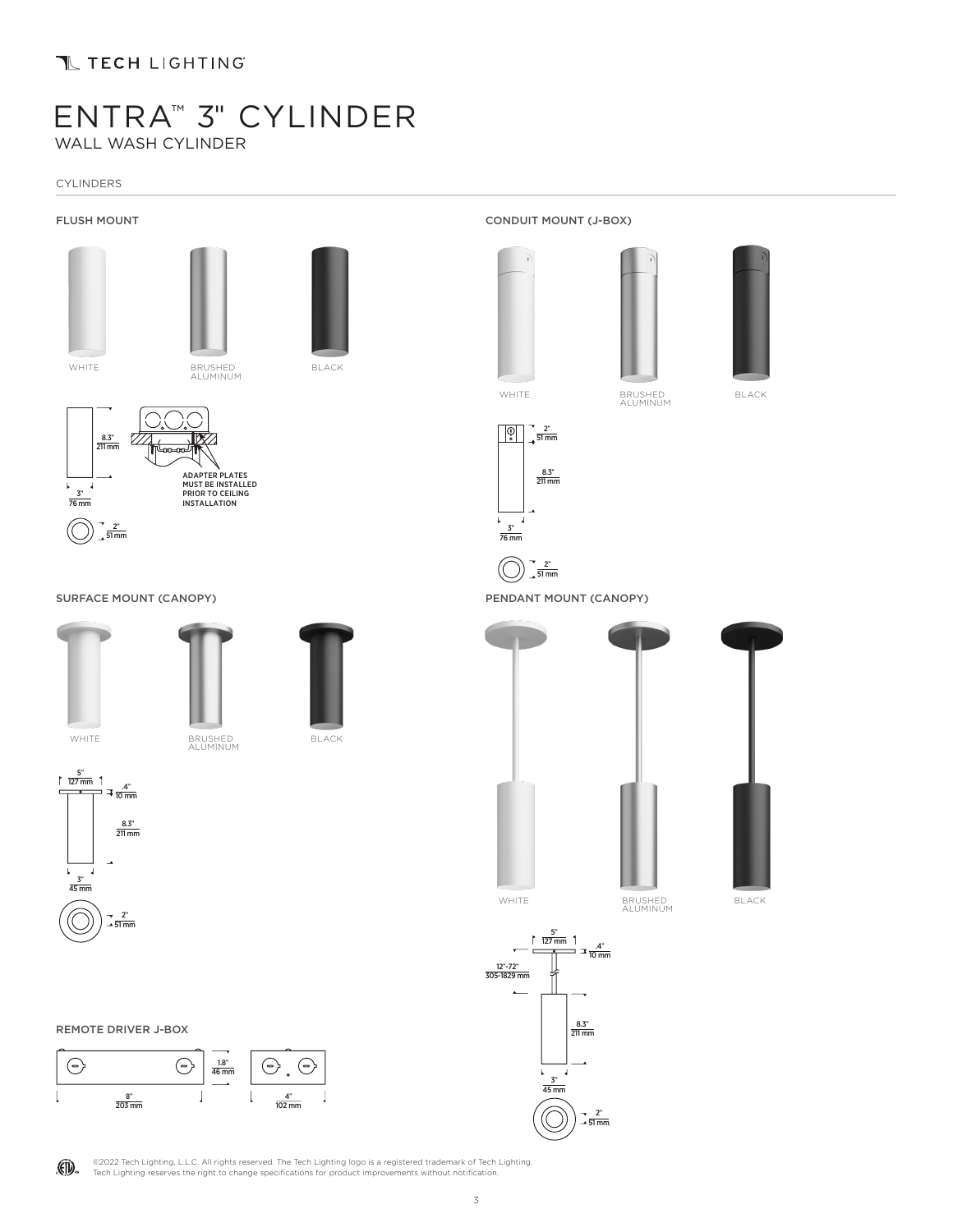## T TECH LIGHTING

# ENTRA™ 3" CYLINDER WALL WASH CYLINDER

CYLINDERS

### FLUSH MOUNT









WHITE BRUSHED ALUMINUM



BLACK



SURFACE MOUNT (CANOPY)







BLACK



(FD.







PENDANT MOUNT (CANOPY)

 $\frac{2^{n}}{51 \text{ mm}}$ 

 $rac{2^{n}}{51 \text{ mm}}$ 

 $\frac{8.3^{\circ}}{211 \text{ mm}}$ 

 $\frac{3^{n}}{76 \text{ mm}}$ 

 $\mathbf{L}$ Ñ

 $\sqrt{2}$ 



WHITE BRUSHED ALUMINUM

BLACK







©2022 Tech Lighting, L.L.C. All rights reserved. The Tech Lighting logo is a registered trademark of Tech Lighting. Tech Lighting reserves the right to change specifications for product improvements without notification.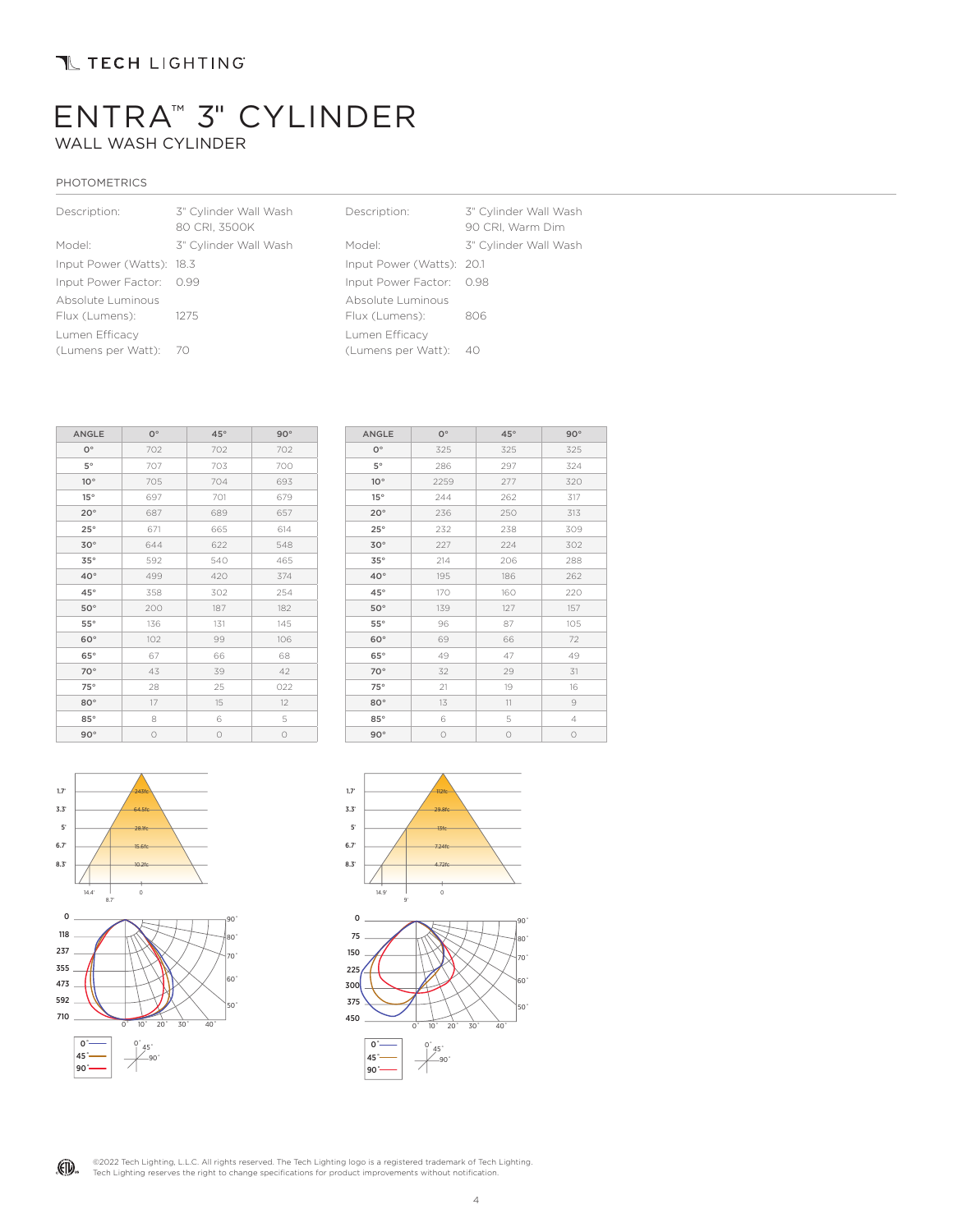## T TECH LIGHTING

# ENTRA™ 3" CYLINDER WALL WASH CYLINDER

### PHOTOMETRICS

| Description:              | 3" Cylinder Wall Wash<br>80 CRI, 3500K | Description:              | 3" Cylinder Wall Wash<br>90 CRI, Warm Dim |
|---------------------------|----------------------------------------|---------------------------|-------------------------------------------|
| Model:                    | 3" Cylinder Wall Wash                  | Model:                    | 3" Cylinder Wall Wash                     |
| Input Power (Watts): 18.3 |                                        | Input Power (Watts): 20.1 |                                           |
| Input Power Factor: 0.99  |                                        | Input Power Factor: 0.98  |                                           |
| Absolute Luminous         |                                        | Absolute Luminous         |                                           |
| Flux (Lumens):            | 1275                                   | Flux (Lumens):            | 806                                       |
| Lumen Efficacy            |                                        | Lumen Efficacy            |                                           |
| (Lumens per Watt): 70     |                                        | (Lumens per Watt): 40     |                                           |

| <b>ANGLE</b> | $O^{\circ}$ | $45^{\circ}$ | $90^{\circ}$ |
|--------------|-------------|--------------|--------------|
| $O^{\circ}$  | 702         | 702          | 702          |
| $5^{\circ}$  | 707         | 703          | 700          |
| $10^{\circ}$ | 705         | 704          | 693          |
| 15°          | 697         | 701          | 679          |
| $20^{\circ}$ | 687         | 689          | 657          |
| $25^\circ$   | 671         | 665          | 614          |
| $30^\circ$   | 644         | 622          | 548          |
| 35°          | 592         | 540          | 465          |
| $40^{\circ}$ | 499         | 420          | 374          |
| $45^{\circ}$ | 358         | 302          | 254          |
| $50^\circ$   | 200         | 187          | 182          |
| $55^\circ$   | 136         | 131          | 145          |
| $60^\circ$   | 102         | 99           | 106          |
| $65^\circ$   | 67          | 66           | 68           |
| $70^\circ$   | 43          | 39           | 42           |
| $75^\circ$   | 28          | 25           | 022          |
| $80^\circ$   | 17          | 15           | 12           |
| $85^\circ$   | 8           | 6            | 5            |
| $90^\circ$   | $\circ$     | $\circ$      | $\circ$      |

| <b>ANGLE</b> | $O^{\circ}$ | $45^{\circ}$ | $90^{\circ}$   |
|--------------|-------------|--------------|----------------|
| $O^{\circ}$  | 325         | 325          | 325            |
| $5^{\circ}$  | 286         | 297          | 324            |
| $10^{\circ}$ | 2259        | 277          | 320            |
| $15^{\circ}$ | 244         | 262          | 317            |
| $20^{\circ}$ | 236         | 250          | 313            |
| $25^\circ$   | 232         | 238          | 309            |
| $30^\circ$   | 227         | 224          | 302            |
| $35^\circ$   | 214         | 206          | 288            |
| $40^{\circ}$ | 195         | 186          | 262            |
| $45^{\circ}$ | 170         | 160          | 220            |
| $50^\circ$   | 139         | 127          | 157            |
| $55^\circ$   | 96          | 87           | 105            |
| $60^\circ$   | 69          | 66           | 72             |
| $65^\circ$   | 49          | 47           | 49             |
| $70^{\circ}$ | 32          | 29           | 31             |
| $75^\circ$   | 21          | 19           | 16             |
| $80^\circ$   | 13          | 11           | 9              |
| $85^\circ$   | 6           | 5            | $\overline{4}$ |
| $90^{\circ}$ | $\circ$     | $\circ$      | $\circ$        |





(FD. ©2022 Tech Lighting, L.L.C. All rights reserved. The Tech Lighting logo is a registered trademark of Tech Lighting.<br>Tech Lighting reserves the right to change specifications for product improvements without notification.